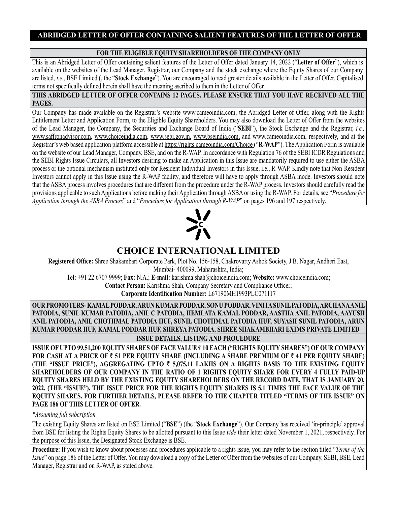# **FOR THE ELIGIBLE EQUITY SHAREHOLDERS OF THE COMPANY ONLY**

This is an Abridged Letter of Offer containing salient features of the Letter of Offer dated January 14, 2022 ("**Letter of Offer**"), which is available on the websites of the Lead Manager, Registrar, our Company and the stock exchange where the Equity Shares of our Company are listed, *i.e.*, BSE Limited (, the "**Stock Exchange**"). You are encouraged to read greater details available in the Letter of Offer. Capitalised terms not specifically defined herein shall have the meaning ascribed to them in the Letter of Offer.

### **THIS ABRIDGED LETTER OF OFFER CONTAINS 12 PAGES. PLEASE ENSURE THAT YOU HAVE RECEIVED ALL THE PAGES.**

Our Company has made available on the Registrar's website www.cameoindia.com, the Abridged Letter of Offer, along with the Rights Entitlement Letter and Application Form, to the Eligible Equity Shareholders. You may also download the Letter of Offer from the websites of the Lead Manager, the Company, the Securities and Exchange Board of India ("**SEBI**"), the Stock Exchange and the Registrar, *i.e.,*  www.saffronadvisor.com, www.choiceindia.com, www.sebi.gov.in, www.bseindia.com, and www.cameoindia.com, respectively, and at the Registrar's web based application platform accessible at https://rights.cameoindia.com/Choice ("**R-WAP**"). The Application Form is available on the website of our Lead Manager, Company, BSE, and on the R-WAP. In accordance with Regulation 76 of the SEBI ICDR Regulations and the SEBI Rights Issue Circulars, all Investors desiring to make an Application in this Issue are mandatorily required to use either the ASBA process or the optional mechanism instituted only for Resident Individual Investors in this Issue, i.e., R-WAP. Kindly note that Non-Resident Investors cannot apply in this Issue using the R-WAP facility, and therefore will have to apply through ASBA mode. Investors should note that the ASBA process involves procedures that are different from the procedure under the R-WAP process. Investors should carefully read the provisions applicable to such Applications before making their Application through ASBA or using the R-WAP. For details, see "*Procedure for Application through the ASBA Process*" and "*Procedure for Application through R-WAP*" on pages 196 and 197 respectively.



# **CHOICE INTERNATIONAL LIMITED**

**Registered Office:** Shree Shakambari Corporate Park, Plot No. 156-158, Chakrovarty Ashok Society, J.B. Nagar, Andheri East, Mumbai- 400099, Maharashtra, India;

**Tel:** +91 22 6707 9999; **Fax:** N.A.; **E-mail:** karishma.shah@choiceindia.com; **Website:** www.choiceindia.com; **Contact Person:** Karishma Shah, Company Secretary and Compliance Officer;

**Corporate Identification Number:** L67190MH1993PLC071117

**OUR PROMOTERS- KAMAL PODDAR, ARUN KUMAR PODDAR, SONU PODDAR, VINITA SUNIL PATODIA, ARCHANA ANIL PATODIA, SUNIL KUMAR PATODIA, ANIL C PATODIA, HEMLATA KAMAL PODDAR, AASTHA ANIL PATODIA, AAYUSH ANIL PATODIA, ANIL CHOTHMAL PATODIA HUF, SUNIL CHOTHMAL PATODIA HUF, SUYASH SUNIL PATODIA, ARUN KUMAR PODDAR HUF, KAMAL PODDAR HUF, SHREYA PATODIA, SHREE SHAKAMBHARI EXIMS PRIVATE LIMITED**

**ISSUE DETAILS, LISTING AND PROCEDURE**

**ISSUE OF UPTO 99,51,200 EQUITY SHARES OF FACE VALUE** ` **10 EACH ("RIGHTS EQUITY SHARES") OF OUR COMPANY FOR CASH AT A PRICE OF** ` **51 PER EQUITY SHARE (INCLUDING A SHARE PREMIUM OF** ` **41 PER EQUITY SHARE) (THE "ISSUE PRICE"), AGGREGATING UPTO** ` **5,075.11 LAKHS ON A RIGHTS BASIS TO THE EXISTING EQUITY SHAREHOLDERS OF OUR COMPANY IN THE RATIO OF 1 RIGHTS EQUITY SHARE FOR EVERY 4 FULLY PAID-UP EQUITY SHARES HELD BY THE EXISTING EQUITY SHAREHOLDERS ON THE RECORD DATE, THAT IS JANUARY 20, 2022. (THE "ISSUE"). THE ISSUE PRICE FOR THE RIGHTS EQUITY SHARES IS 5.1 TIMES THE FACE VALUE OF THE EQUITY SHARES. FOR FURTHER DETAILS, PLEASE REFER TO THE CHAPTER TITLED "TERMS OF THE ISSUE" ON PAGE 186 OF THIS LETTER OF OFFER.**

*\*Assuming full subcription.*

The existing Equity Shares are listed on BSE Limited ("**BSE**") (the "**Stock Exchange**"). Our Company has received 'in-principle' approval from BSE for listing the Rights Equity Shares to be allotted pursuant to this Issue *vide* their letter dated November 1, 2021, respectively. For the purpose of this Issue, the Designated Stock Exchange is BSE.

**Procedure:** If you wish to know about processes and procedures applicable to a rights issue, you may refer to the section titled "*Terms of the Issue*" on page 186 of the Letter of Offer. You may download a copy of the Letter of Offer from the websites of our Company, SEBI, BSE, Lead Manager, Registrar and on R-WAP, as stated above.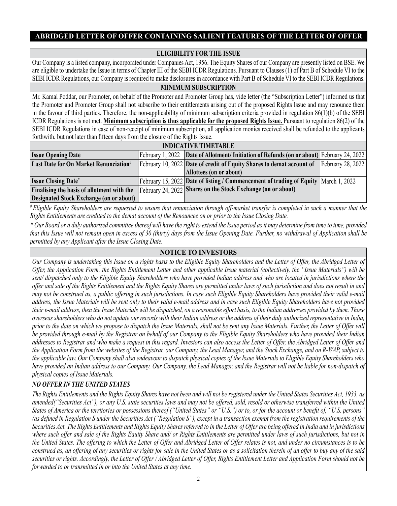### **ELIGIBILITY FOR THE ISSUE**

Our Company is a listed company, incorporated under Companies Act, 1956. The Equity Shares of our Company are presently listed on BSE. We are eligible to undertake the Issue in terms of Chapter III of the SEBI ICDR Regulations. Pursuant to Clauses (1) of Part B of Schedule VI to the SEBI ICDR Regulations, our Company is required to make disclosures in accordance with Part B of Schedule VI to the SEBI ICDR Regulations.

#### **MINIMUM SUBSCRIPTION**

Mr. Kamal Poddar, our Promoter, on behalf of the Promoter and Promoter Group has, vide letter (the "Subscription Letter") informed us that the Promoter and Promoter Group shall not subscribe to their entitlements arising out of the proposed Rights Issue and may renounce them in the favour of third parties. Therefore, the non-applicability of minimum subscription criteria provided in regulation 86(1)(b) of the SEBI ICDR Regulations is not met. **Minimum subscription is thus applicable for the proposed Rights Issue.** Pursuant to regulation 86(2) of the SEBI ICDR Regulations in case of non-receipt of minimum subscription, all application monies received shall be refunded to the applicants forthwith, but not later than fifteen days from the closure of the Rights Issue.

| <b>INDICATIVE TIMETABLE</b>                       |  |                                                                                                         |                   |
|---------------------------------------------------|--|---------------------------------------------------------------------------------------------------------|-------------------|
| <b>Issue Opening Date</b>                         |  | February 1, 2022   Date of Allotment/ Initiation of Refunds (on or about)  February 24, 2022            |                   |
| Last Date for On Market Renunciation <sup>#</sup> |  | February 10, 2022 Date of credit of Equity Shares to demat account of                                   | February 28, 2022 |
|                                                   |  | Allottees (on or about)                                                                                 |                   |
| <b>Issue Closing Date*</b>                        |  | February 15, 2022 Date of listing / Commencement of trading of Equity March 1, 2022                     |                   |
|                                                   |  | Finalising the basis of allotment with the February 24, 2022 Shares on the Stock Exchange (on or about) |                   |
| <b>Designated Stock Exchange (on or about)</b>    |  |                                                                                                         |                   |

*# Eligible Equity Shareholders are requested to ensure that renunciation through off-market transfer is completed in such a manner that the Rights Entitlements are credited to the demat account of the Renouncee on or prior to the Issue Closing Date.*

*\* Our Board or a duly authorized committee thereof will have the right to extend the Issue period as it may determine from time to time, provided that this Issue will not remain open in excess of 30 (thirty) days from the Issue Opening Date. Further, no withdrawal of Application shall be permitted by any Applicant after the Issue Closing Date.*

### **NOTICE TO INVESTORS**

*Our Company is undertaking this Issue on a rights basis to the Eligible Equity Shareholders and the Letter of Offer, the Abridged Letter of Offer, the Application Form, the Rights Entitlement Letter and other applicable Issue material (collectively, the "Issue Materials") will be sent/ dispatched only to the Eligible Equity Shareholders who have provided Indian address and who are located in jurisdictions where the offer and sale of the Rights Entitlement and the Rights Equity Shares are permitted under laws of such jurisdiction and does not result in and may not be construed as, a public offering in such jurisdictions. In case such Eligible Equity Shareholders have provided their valid e-mail address, the Issue Materials will be sent only to their valid e-mail address and in case such Eligible Equity Shareholders have not provided their e-mail address, then the Issue Materials will be dispatched, on a reasonable effort basis, to the Indian addresses provided by them. Those overseas shareholders who do not update our records with their Indian address or the address of their duly authorized representative in India, prior to the date on which we propose to dispatch the Issue Materials, shall not be sent any Issue Materials. Further, the Letter of Offer will be provided through e-mail by the Registrar on behalf of our Company to the Eligible Equity Shareholders who have provided their Indian addresses to Registrar and who make a request in this regard. Investors can also access the Letter of Offer, the Abridged Letter of Offer and the Application Form from the websites of the Registrar, our Company, the Lead Manager, and the Stock Exchange, and on R-WAP, subject to the applicable law. Our Company shall also endeavour to dispatch physical copies of the Issue Materials to Eligible Equity Shareholders who have provided an Indian address to our Company. Our Company, the Lead Manager, and the Registrar will not be liable for non-dispatch of physical copies of Issue Materials.*

# *NO OFFER IN THE UNITED STATES*

*The Rights Entitlements and the Rights Equity Shares have not been and will not be registered under the United States Securities Act, 1933, as amended("Securities Act"), or any U.S. state securities laws and may not be offered, sold, resold or otherwise transferred within the United States of America or the territories or possessions thereof ("United States" or "U.S.") or to, or for the account or benefit of, "U.S. persons" (as defined in Regulation S under the Securities Act ("Regulation S"), except in a transaction exempt from the registration requirements of the Securities Act. The Rights Entitlements and Rights Equity Shares referred to in the Letter of Offer are being offered in India and in jurisdictions where such offer and sale of the Rights Equity Share and/ or Rights Entitlements are permitted under laws of such jurisdictions, but not in the United States. The offering to which the Letter of Offer and Abridged Letter of Offer relates is not, and under no circumstances is to be construed as, an offering of any securities or rights for sale in the United States or as a solicitation therein of an offer to buy any of the said securities or rights. Accordingly, the Letter of Offer / Abridged Letter of Offer, Rights Entitlement Letter and Application Form should not be forwarded to or transmitted in or into the United States at any time.*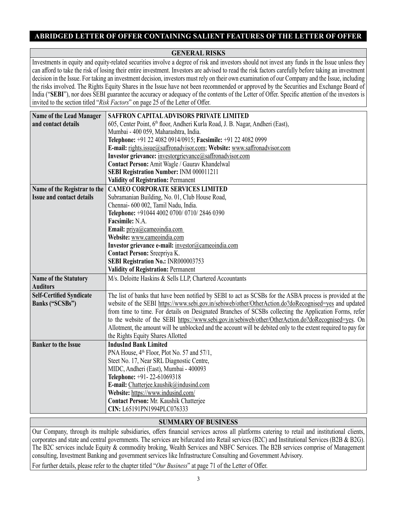# **GENERAL RISKS**

Investments in equity and equity-related securities involve a degree of risk and investors should not invest any funds in the Issue unless they can afford to take the risk of losing their entire investment. Investors are advised to read the risk factors carefully before taking an investment decision in the Issue. For taking an investment decision, investors must rely on their own examination of our Company and the Issue, including the risks involved. The Rights Equity Shares in the Issue have not been recommended or approved by the Securities and Exchange Board of India ("**SEBI**"), nor does SEBI guarantee the accuracy or adequacy of the contents of the Letter of Offer. Specific attention of the investors is invited to the section titled "*Risk Factors*" on page 25 of the Letter of Offer.

| <b>Name of the Lead Manager</b>                 | SAFFRON CAPITAL ADVISORS PRIVATE LIMITED                                                                       |  |  |  |
|-------------------------------------------------|----------------------------------------------------------------------------------------------------------------|--|--|--|
| and contact details                             | 605, Center Point, 6th floor, Andheri Kurla Road, J. B. Nagar, Andheri (East),                                 |  |  |  |
|                                                 | Mumbai - 400 059, Maharashtra, India.                                                                          |  |  |  |
|                                                 | Telephone: +91 22 4082 0914/0915; Facsimile: +91 22 4082 0999                                                  |  |  |  |
|                                                 | E-mail: rights.issue@saffronadvisor.com; Website: www.saffronadvisor.com                                       |  |  |  |
|                                                 | Investor grievance: investorgrievance@saffronadvisor.com                                                       |  |  |  |
|                                                 | Contact Person: Amit Wagle / Gaurav Khandelwal                                                                 |  |  |  |
|                                                 | SEBI Registration Number: INM 000011211                                                                        |  |  |  |
|                                                 | <b>Validity of Registration: Permanent</b>                                                                     |  |  |  |
| Name of the Registrar to the                    | <b>CAMEO CORPORATE SERVICES LIMITED</b>                                                                        |  |  |  |
| <b>Issue and contact details</b>                | Subramanian Building, No. 01, Club House Road,                                                                 |  |  |  |
|                                                 | Chennai- 600 002, Tamil Nadu, India.                                                                           |  |  |  |
|                                                 | Telephone: +91044 4002 0700/ 0710/ 2846 0390                                                                   |  |  |  |
|                                                 | Facsimile: N.A.                                                                                                |  |  |  |
|                                                 | Email: $\text{priya}(\widehat{a})$ cameoindia.com                                                              |  |  |  |
|                                                 | Website: www.cameoindia.com                                                                                    |  |  |  |
|                                                 | Investor grievance e-mail: investor@cameoindia.com                                                             |  |  |  |
|                                                 | Contact Person: Sreepriya K.                                                                                   |  |  |  |
|                                                 | SEBI Registration No.: INR000003753                                                                            |  |  |  |
|                                                 | <b>Validity of Registration: Permanent</b>                                                                     |  |  |  |
| <b>Name of the Statutory</b><br><b>Auditors</b> | M/s. Deloitte Haskins & Sells LLP, Chartered Accountants                                                       |  |  |  |
| <b>Self-Certified Syndicate</b>                 | The list of banks that have been notified by SEBI to act as SCSBs for the ASBA process is provided at the      |  |  |  |
| Banks ("SCSBs")                                 | website of the SEBI https://www.sebi.gov.in/sebiweb/other/OtherAction.do?doRecognised=yes and updated          |  |  |  |
|                                                 | from time to time. For details on Designated Branches of SCSBs collecting the Application Forms, refer         |  |  |  |
|                                                 | to the website of the SEBI https://www.sebi.gov.in/sebiweb/other/OtherAction.do?doRecognised=yes. On           |  |  |  |
|                                                 | Allotment, the amount will be unblocked and the account will be debited only to the extent required to pay for |  |  |  |
|                                                 | the Rights Equity Shares Allotted                                                                              |  |  |  |
| <b>Banker to the Issue</b>                      | <b>IndusInd Bank Limited</b>                                                                                   |  |  |  |
|                                                 | PNA House, 4 <sup>th</sup> Floor, Plot No. 57 and 57/1,                                                        |  |  |  |
|                                                 | Steet No. 17, Near SRL Diagnostic Centre,                                                                      |  |  |  |
|                                                 | MIDC, Andheri (East), Mumbai - 400093                                                                          |  |  |  |
|                                                 | Telephone: +91-22-61069318                                                                                     |  |  |  |
|                                                 | E-mail: Chatterjee.kaushik@indusind.com                                                                        |  |  |  |
|                                                 | Website: https://www.indusind.com/                                                                             |  |  |  |
|                                                 | Contact Person: Mr. Kaushik Chatterjee                                                                         |  |  |  |
|                                                 | CIN: L65191PN1994PLC076333                                                                                     |  |  |  |

# **SUMMARY OF BUSINESS**

Our Company, through its multiple subsidiaries, offers financial services across all platforms catering to retail and institutional clients, corporates and state and central governments. The services are bifurcated into Retail services (B2C) and Institutional Services (B2B & B2G). The B2C services include Equity & commodity broking, Wealth Services and NBFC Services. The B2B services comprise of Management consulting, Investment Banking and government services like Infrastructure Consulting and Government Advisory.

For further details, please refer to the chapter titled "*Our Business*" at page 71 of the Letter of Offer.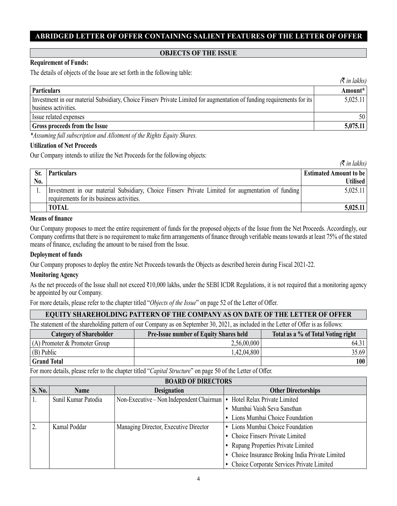### **OBJECTS OF THE ISSUE**

### **Requirement of Funds:**

The details of objects of the Issue are set forth in the following table:

|                                                                                                                                                | $\mathcal{R}$ in lakhs) |
|------------------------------------------------------------------------------------------------------------------------------------------------|-------------------------|
| <b>Particulars</b>                                                                                                                             | Amount*                 |
| Investment in our material Subsidiary, Choice Finsery Private Limited for augmentation of funding requirements for its<br>business activities. | 5,025.11                |
| Issue related expenses                                                                                                                         | 50                      |
| <b>Gross proceeds from the Issue</b>                                                                                                           | 5,075.11                |

*\*Assuming full subscription and Allotment of the Rights Equity Shares.* 

#### **Utilization of Net Proceeds**

Our Company intends to utilize the Net Proceeds for the following objects:

|                  |                                                                                                                                                | $\sqrt{u}$                    |
|------------------|------------------------------------------------------------------------------------------------------------------------------------------------|-------------------------------|
| Sr.              | <b>Particulars</b>                                                                                                                             | <b>Estimated Amount to be</b> |
| N <sub>0</sub> . |                                                                                                                                                | <b>Utilised</b>               |
|                  | Investment in our material Subsidiary, Choice Finsery Private Limited for augmentation of funding<br>requirements for its business activities. | 5,025.11                      |
|                  | <b>TOTAL</b>                                                                                                                                   | 5,025.11                      |

 $\mathcal{F}$  in *lakhs*)

#### **Means of finance**

Our Company proposes to meet the entire requirement of funds for the proposed objects of the Issue from the Net Proceeds. Accordingly, our Company confirms that there is no requirement to make firm arrangements of finance through verifiable means towards at least 75% of the stated means of finance, excluding the amount to be raised from the Issue.

#### **Deployment of funds**

Our Company proposes to deploy the entire Net Proceeds towards the Objects as described herein during Fiscal 2021-22.

### **Monitoring Agency**

As the net proceeds of the Issue shall not exceed ₹10,000 lakhs, under the SEBI ICDR Regulations, it is not required that a monitoring agency be appointed by our Company.

For more details, please refer to the chapter titled "*Objects of the Issue*" on page 52 of the Letter of Offer.

### **EQUITY SHAREHOLDING PATTERN OF THE COMPANY AS ON DATE OF THE LETTER OF OFFER**

The statement of the shareholding pattern of our Company as on September 30, 2021, as included in the Letter of Offer is as follows:

| <b>Category of Shareholder</b>  | <b>Pre-Issue number of Equity Shares held</b> | Total as a % of Total Voting right |
|---------------------------------|-----------------------------------------------|------------------------------------|
| $(A)$ Promoter & Promoter Group | 2,56,00,000                                   | 64.31                              |
| $(B)$ Public                    | 1,42,04,800                                   | 35.69                              |
| <b>Grand Total</b>              |                                               | 100                                |

For more details, please refer to the chapter titled "*Capital Structure*" on page 50 of the Letter of Offer.

| <b>BOARD OF DIRECTORS</b>                          |                     |                                              |                                                  |  |  |
|----------------------------------------------------|---------------------|----------------------------------------------|--------------------------------------------------|--|--|
| <b>S. No.</b><br><b>Designation</b><br><b>Name</b> |                     |                                              | <b>Other Directorships</b>                       |  |  |
|                                                    | Sunil Kumar Patodia | Non-Executive – Non Independent Chairman   • | Hotel Relax Private Limited                      |  |  |
|                                                    |                     |                                              | • Mumbai Vaish Seva Sansthan                     |  |  |
|                                                    |                     |                                              | • Lions Mumbai Choice Foundation                 |  |  |
| $\overline{2}$                                     | Kamal Poddar        | Managing Director, Executive Director        | • Lions Mumbai Choice Foundation                 |  |  |
|                                                    |                     |                                              | • Choice Finserv Private Limited                 |  |  |
|                                                    |                     |                                              | • Rupang Properties Private Limited              |  |  |
|                                                    |                     |                                              | • Choice Insurance Broking India Private Limited |  |  |
|                                                    |                     |                                              | • Choice Corporate Services Private Limited      |  |  |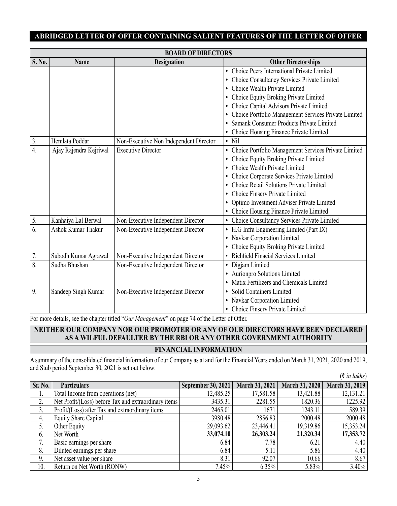| <b>BOARD OF DIRECTORS</b> |                        |                                        |                                                                   |  |
|---------------------------|------------------------|----------------------------------------|-------------------------------------------------------------------|--|
| S. No.                    | <b>Name</b>            | <b>Designation</b>                     | <b>Other Directorships</b>                                        |  |
|                           |                        |                                        | Choice Peers International Private Limited                        |  |
|                           |                        |                                        | Choice Consultancy Services Private Limited<br>$\bullet$          |  |
|                           |                        |                                        | Choice Wealth Private Limited                                     |  |
|                           |                        |                                        | Choice Equity Broking Private Limited                             |  |
|                           |                        |                                        | Choice Capital Advisors Private Limited                           |  |
|                           |                        |                                        | Choice Portfolio Management Services Private Limited<br>$\bullet$ |  |
|                           |                        |                                        | Samank Consumer Products Private Limited                          |  |
|                           |                        |                                        | Choice Housing Finance Private Limited                            |  |
| 3.                        | Hemlata Poddar         | Non-Executive Non Independent Director | $\bullet$ Nil                                                     |  |
| $\overline{4}$ .          | Ajay Rajendra Kejriwal | <b>Executive Director</b>              | Choice Portfolio Management Services Private Limited<br>٠         |  |
|                           |                        |                                        | Choice Equity Broking Private Limited                             |  |
|                           |                        |                                        | Choice Wealth Private Limited                                     |  |
|                           |                        |                                        | Choice Corporate Services Private Limited<br>٠                    |  |
|                           |                        |                                        | Choice Retail Solutions Private Limited                           |  |
|                           |                        |                                        | Choice Finsery Private Limited                                    |  |
|                           |                        |                                        | Optimo Investment Adviser Private Limited                         |  |
|                           |                        |                                        | Choice Housing Finance Private Limited                            |  |
| 5.                        | Kanhaiya Lal Berwal    | Non-Executive Independent Director     | Choice Consultancy Services Private Limited                       |  |
| $\overline{6}$ .          | Ashok Kumar Thakur     | Non-Executive Independent Director     | H.G Infra Engineering Limited (Part IX)<br>٠                      |  |
|                           |                        |                                        | Navkar Corporation Limited<br>٠                                   |  |
|                           |                        |                                        | Choice Equity Broking Private Limited                             |  |
| $7. \,$                   | Subodh Kumar Agrawal   | Non-Executive Independent Director     | Richfield Finacial Services Limited<br>$\bullet$                  |  |
| $\overline{8}$ .          | Sudha Bhushan          | Non-Executive Independent Director     | Digjam Limited                                                    |  |
|                           |                        |                                        | Aurionpro Solutions Limited<br>$\bullet$                          |  |
|                           |                        |                                        | Matix Fertilizers and Chemicals Limited<br>$\bullet$              |  |
| 9.                        | Sandeep Singh Kumar    | Non-Executive Independent Director     | Solid Containers Limited                                          |  |
|                           |                        |                                        | • Navkar Corporation Limited                                      |  |
|                           |                        |                                        | Choice Finserv Private Limited                                    |  |

For more details, see the chapter titled "*Our Management*" on page 74 of the Letter of Offer.

# **NEITHER OUR COMPANY NOR OUR PROMOTER OR ANY OF OUR DIRECTORS HAVE BEEN DECLARED AS A WILFUL DEFAULTER BY THE RBI OR ANY OTHER GOVERNMENT AUTHORITY FINANCIAL INFORMATION**

A summary of the consolidated financial information of our Company as at and for the Financial Years ended on March 31, 2021, 2020 and 2019, and Stub period September 30, 2021 is set out below: (` *in lakhs*)

|                    |                                                      |                    |                |                | $\Delta$ <i>th</i> tunns $\Delta$ |
|--------------------|------------------------------------------------------|--------------------|----------------|----------------|-----------------------------------|
| Sr. No.            | <b>Particulars</b>                                   | September 30, 2021 | March 31, 2021 | March 31, 2020 | <b>March 31, 2019</b>             |
| 1.                 | Total Income from operations (net)                   | 12,485.25          | 17,581.58      | 13,421.88      | 12,131.21                         |
| <sup>2</sup><br>۷. | Net Profit/(Loss) before Tax and extraordinary items | 3435.31            | 2281.55        | 1820.36        | 1225.92                           |
| 3.                 | Profit/(Loss) after Tax and extraordinary items      | 2465.01            | 1671           | 1243.11        | 589.39                            |
| 4.                 | Equity Share Capital                                 | 3980.48            | 2856.83        | 2000.48        | 2000.48                           |
| 5.                 | Other Equity                                         | 29,093.62          | 23,446.41      | 19,319.86      | 15,353.24                         |
| 6.                 | Net Worth                                            | 33,074.10          | 26,303.24      | 21,320.34      | 17,353.72                         |
| 7.                 | Basic earnings per share                             | 6.84               | 7.78           | 6.21           | 4.40                              |
| 8.                 | Diluted earnings per share                           | 6.84               | 5.11           | 5.86           | 4.40                              |
| 9.                 | Net asset value per share                            | 8.31               | 92.07          | 10.66          | 8.67                              |
| 10.                | Return on Net Worth (RONW)                           | 7.45%              | 6.35%          | 5.83%          | $3.40\%$                          |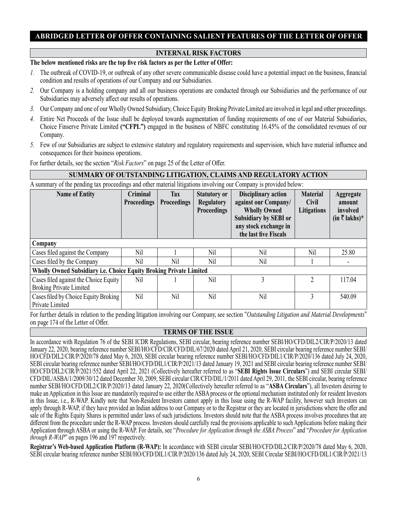# **INTERNAL RISK FACTORS**

### **The below mentioned risks are the top five risk factors as per the Letter of Offer:**

- *1.* The outbreak of COVID-19, or outbreak of any other severe communicable disease could have a potential impact on the business, financial condition and results of operations of our Company and our Subsidiaries.
- *2.* Our Company is a holding company and all our business operations are conducted through our Subsidiaries and the performance of our Subsidiaries may adversely affect our results of operations.
- *3.* Our Company and one of our Wholly Owned Subsidiary, Choice Equity Broking Private Limited are involved in legal and other proceedings.
- *4.* Entire Net Proceeds of the Issue shall be deployed towards augmentation of funding requirements of one of our Material Subsidiaries, Choice Finserve Private Limited **("CFPL")** engaged in the business of NBFC constituting 16.45% of the consolidated revenues of our Company.
- *5.* Few of our Subsidiaries are subject to extensive statutory and regulatory requirements and supervision, which have material influence and consequences for their business operations.

For further details, see the section "*Risk Factors*" on page 25 of the Letter of Offer.

### **SUMMARY OF OUTSTANDING LITIGATION, CLAIMS AND REGULATORY ACTION**

A summary of the pending tax proceedings and other material litigations involving our Company is provided below:

| <b>Name of Entity</b>                                                   | <b>Criminal</b><br><b>Proceedings</b> | <b>Tax</b><br><b>Proceedings</b> | <b>Statutory or</b><br><b>Regulatory</b><br><b>Proceedings</b> | <b>Disciplinary action</b><br>against our Company/<br><b>Wholly Owned</b><br>Subsidiary by SEBI or<br>any stock exchange in<br>the last five Fiscals | <b>Material</b><br><b>Civil</b><br>Litigations | <b>Aggregate</b><br>amount<br>involved<br>$(in \bar{\tau}$ lakhs)* |
|-------------------------------------------------------------------------|---------------------------------------|----------------------------------|----------------------------------------------------------------|------------------------------------------------------------------------------------------------------------------------------------------------------|------------------------------------------------|--------------------------------------------------------------------|
| Company                                                                 |                                       |                                  |                                                                |                                                                                                                                                      |                                                |                                                                    |
| Cases filed against the Company                                         | Nil                                   |                                  | Nil                                                            | Nil                                                                                                                                                  | Nil                                            | 25.80                                                              |
| Cases filed by the Company                                              | Nil                                   | Nil                              | Nil                                                            | Nil                                                                                                                                                  |                                                |                                                                    |
| Wholly Owned Subsidiary i.e. Choice Equity Broking Private Limited      |                                       |                                  |                                                                |                                                                                                                                                      |                                                |                                                                    |
| Cases filed against the Choice Equity<br><b>Broking Private Limited</b> | Nil                                   |                                  | Nil                                                            | 3                                                                                                                                                    | $\mathfrak{D}$                                 | 117.04                                                             |
| Cases filed by Choice Equity Broking<br>Private Limited                 | Nil                                   | Nil                              | Nil                                                            | Nil                                                                                                                                                  | 3                                              | 540.09                                                             |

For further details in relation to the pending litigation involving our Company, see section "*Outstanding Litigation and Material Developments*" on page 174 of the Letter of Offer.

### **TERMS OF THE ISSUE**

In accordance with Regulation 76 of the SEBI ICDR Regulations, SEBI circular, bearing reference number SEBI/HO/CFD/DIL2/CIR/P/2020/13 dated January 22, 2020, bearing reference number SEBI/HO/CFD/CIR/CFD/DIL/67/2020 dated April 21, 2020, SEBI circular bearing reference number SEBI/ HO/CFD/DIL2/CIR/P/2020/78 dated May 6, 2020, SEBI circular bearing reference number SEBI/HO/CFD/DIL1/CIR/P/2020/136 dated July 24, 2020, SEBI circular bearing reference number SEBI/HO/CFD/DIL1/CIR/P/2021/13 dated January 19, 2021 and SEBI circular bearing reference number SEBI/ HO/CFD/DIL2/CIR/P/2021/552 dated April 22, 2021 (Collectively hereafter referred to as "**SEBI Rights Issue Circulars**") and SEBI circular SEBI/ CFD/DIL/ASBA/1/2009/30/12 dated December 30, 2009, SEBI circular CIR/CFD/DIL/1/2011 dated April 29, 2011, the SEBI circular, bearing reference number SEBI/HO/CFD/DIL2/CIR/P/2020/13 dated January 22, 2020(Collectively hereafter referred to as "**ASBA Circulars**"), all Investors desiring to make an Application in this Issue are mandatorily required to use either the ASBA process or the optional mechanism instituted only for resident Investors in this Issue, i.e., R-WAP. Kindly note that Non-Resident Investors cannot apply in this Issue using the R-WAP facility, however such Investors can apply through R-WAP, if they have provided an Indian address to our Company or to the Registrar or they are located in jurisdictions where the offer and sale of the Rights Equity Shares is permitted under laws of such jurisdictions. Investors should note that the ASBA process involves procedures that are different from the procedure under the R-WAP process. Investors should carefully read the provisions applicable to such Applications before making their Application through ASBA or using the R-WAP. For details, see "*Procedure for Application through the ASBA Process*" and "*Procedure for Application through R-WAP*" on pages 196 and 197 respectively.

**Registrar's Web-based Application Platform (R-WAP):** In accordance with SEBI circular SEBI/HO/CFD/DIL2/CIR/P/2020/78 dated May 6, 2020, SEBI circular bearing reference number SEBI/HO/CFD/DIL1/CIR/P/2020/136 dated July 24, 2020, SEBI Circular SEBI/HO/CFD/DIL1/CIR/P/2021/13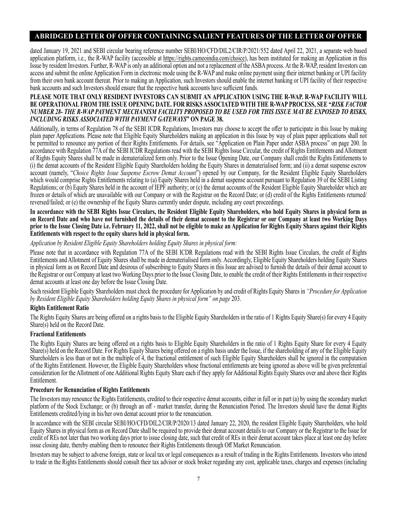dated January 19, 2021 and SEBI circular bearing reference number SEBI/HO/CFD/DIL2/CIR/P/2021/552 dated April 22, 2021, a separate web based application platform, i.e., the R-WAP facility (accessible at https://rights.cameoindia.com/choice), has been instituted for making an Application in this Issue by resident Investors. Further, R-WAP is only an additional option and not a replacement of the ASBA process. At the R-WAP, resident Investors can access and submit the online Application Form in electronic mode using the R-WAP and make online payment using their internet banking or UPI facility from their own bank account thereat. Prior to making an Application, such Investors should enable the internet banking or UPI facility of their respective bank accounts and such Investors should ensure that the respective bank accounts have sufficient funds.

#### **PLEASE NOTE THAT ONLY RESIDENT INVESTORS CAN SUBMIT AN APPLICATION USING THE R-WAP. R-WAP FACILITY WILL BE OPERATIONAL FROM THE ISSUE OPENING DATE. FOR RISKS ASSOCIATED WITH THE R-WAP PROCESS, SEE "***RISK FACTOR NUMBER 28- THE R-WAP PAYMENT MECHANISM FACILITY PROPOSED TO BE USED FOR THIS ISSUE MAY BE EXPOSED TO RISKS, INCLUDING RISKS ASSOCIATED WITH PAYMENT GATEWAYS***" ON PAGE 38.**

Additionally, in terms of Regulation 78 of the SEBI ICDR Regulations, Investors may choose to accept the offer to participate in this Issue by making plain paper Applications. Please note that Eligible Equity Shareholders making an application in this Issue by way of plain paper applications shall not be permitted to renounce any portion of their Rights Entitlements. For details, see "Application on Plain Paper under ASBA process" on page 200. In accordance with Regulation 77A of the SEBI ICDR Regulations read with the SEBI Rights Issue Circular, the credit of Rights Entitlements and Allotment of Rights Equity Shares shall be made in dematerialized form only. Prior to the Issue Opening Date, our Company shall credit the Rights Entitlements to (i) the demat accounts of the Resident Eligible Equity Shareholders holding the Equity Shares in dematerialised form; and (ii) a demat suspense escrow account (namely, "*Choice Rights Issue Suspense Escrow Demat Account*") opened by our Company, for the Resident Eligible Equity Shareholders which would comprise Rights Entitlements relating to (a) Equity Shares held in a demat suspense account pursuant to Regulation 39 of the SEBI Listing Regulations; or (b) Equity Shares held in the account of IEPF authority; or (c) the demat accounts of the Resident Eligible Equity Shareholder which are frozen or details of which are unavailable with our Company or with the Registrar on the Record Date; or (d) credit of the Rights Entitlements returned/ reversed/failed; or (e) the ownership of the Equity Shares currently under dispute, including any court proceedings.

**In accordance with the SEBI Rights Issue Circulars, the Resident Eligible Equity Shareholders, who hold Equity Shares in physical form as on Record Date and who have not furnished the details of their demat account to the Registrar or our Company at least two Working Days prior to the Issue Closing Date i.e. February 11, 2022, shall not be eligible to make an Application for Rights Equity Shares against their Rights Entitlements with respect to the equity shares held in physical form.**

#### *Application by Resident Eligible Equity Shareholders holding Equity Shares in physical form:*

Please note that in accordance with Regulation 77A of the SEBI ICDR Regulations read with the SEBI Rights Issue Circulars, the credit of Rights Entitlements and Allotment of Equity Shares shall be made in dematerialised form only. Accordingly, Eligible Equity Shareholders holding Equity Shares in physical form as on Record Date and desirous of subscribing to Equity Shares in this Issue are advised to furnish the details of their demat account to the Registrar or our Company at least two Working Days prior to the Issue Closing Date, to enable the credit of their Rights Entitlements in their respective demat accounts at least one day before the Issue Closing Date.

Such resident Eligible Equity Shareholders must check the procedure for Application by and credit of Rights Equity Shares in *"Procedure for Application by Resident Eligible Equity Shareholders holding Equity Shares in physical form" on page* 203.

### **Rights Entitlement Ratio**

The Rights Equity Shares are being offered on a rights basis to the Eligible Equity Shareholders in the ratio of 1 Rights Equity Share(s) for every 4 Equity Share(s) held on the Record Date.

### **Fractional Entitlements**

The Rights Equity Shares are being offered on a rights basis to Eligible Equity Shareholders in the ratio of 1 Rights Equity Share for every 4 Equity Share(s) held on the Record Date. For Rights Equity Shares being offered on a rights basis under the Issue, if the shareholding of any of the Eligible Equity Shareholders is less than or not in the multiple of 4, the fractional entitlement of such Eligible Equity Shareholders shall be ignored in the computation of the Rights Entitlement. However, the Eligible Equity Shareholders whose fractional entitlements are being ignored as above will be given preferential consideration for the Allotment of one Additional Rights Equity Share each if they apply for Additional Rights Equity Shares over and above their Rights Entitlement.

#### **Procedure for Renunciation of Rights Entitlements**

The Investors may renounce the Rights Entitlements, credited to their respective demat accounts, either in full or in part (a) by using the secondary market platform of the Stock Exchange; or (b) through an off - market transfer, during the Renunciation Period. The Investors should have the demat Rights Entitlements credited/lying in his/her own demat account prior to the renunciation.

In accordance with the SEBI circular SEBI/HO/CFD/DIL2/CIR/P/2020/13 dated January 22, 2020, the resident Eligible Equity Shareholders, who hold Equity Shares in physical form as on Record Date shall be required to provide their demat account details to our Company or the Registrar to the Issue for credit of REs not later than two working days prior to issue closing date, such that credit of REs in their demat account takes place at least one day before issue closing date, thereby enabling them to renounce their Rights Entitlements through Off Market Renunciation.

Investors may be subject to adverse foreign, state or local tax or legal consequences as a result of trading in the Rights Entitlements. Investors who intend to trade in the Rights Entitlements should consult their tax advisor or stock broker regarding any cost, applicable taxes, charges and expenses (including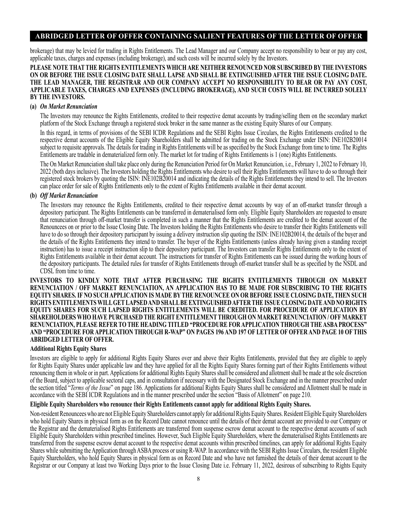brokerage) that may be levied for trading in Rights Entitlements. The Lead Manager and our Company accept no responsibility to bear or pay any cost, applicable taxes, charges and expenses (including brokerage), and such costs will be incurred solely by the Investors.

#### **PLEASE NOTE THAT THE RIGHTS ENTITLEMENTS WHICH ARE NEITHER RENOUNCED NOR SUBSCRIBED BY THE INVESTORS ON OR BEFORE THE ISSUE CLOSING DATE SHALL LAPSE AND SHALL BE EXTINGUISHED AFTER THE ISSUE CLOSING DATE. THE LEAD MANAGER, THE REGISTRAR AND OUR COMPANY ACCEPT NO RESPONSIBILITY TO BEAR OR PAY ANY COST, APPLICABLE TAXES, CHARGES AND EXPENSES (INCLUDING BROKERAGE), AND SUCH COSTS WILL BE INCURRED SOLELY BY THE INVESTORS.**

#### **(a)** *On Market Renunciation*

The Investors may renounce the Rights Entitlements, credited to their respective demat accounts by trading/selling them on the secondary market platform of the Stock Exchange through a registered stock broker in the same manner as the existing Equity Shares of our Company.

In this regard, in terms of provisions of the SEBI ICDR Regulations and the SEBI Rights Issue Circulars, the Rights Entitlements credited to the respective demat accounts of the Eligible Equity Shareholders shall be admitted for trading on the Stock Exchange under ISIN: INE102B20014 subject to requisite approvals. The details for trading in Rights Entitlements will be as specified by the Stock Exchange from time to time. The Rights Entitlements are tradable in dematerialized form only. The market lot for trading of Rights Entitlements is 1 (one) Rights Entitlements.

The On Market Renunciation shall take place only during the Renunciation Period for On Market Renunciation, i.e., February 1, 2022 to February 10, 2022 (both days inclusive). The Investors holding the Rights Entitlements who desire to sell their Rights Entitlements will have to do so through their registered stock brokers by quoting the ISIN: INE102B20014 and indicating the details of the Rights Entitlements they intend to sell. The Investors can place order for sale of Rights Entitlements only to the extent of Rights Entitlements available in their demat account.

#### **(b)** *Off Market Renunciation*

The Investors may renounce the Rights Entitlements, credited to their respective demat accounts by way of an off-market transfer through a depository participant. The Rights Entitlements can be transferred in dematerialised form only. Eligible Equity Shareholders are requested to ensure that renunciation through off-market transfer is completed in such a manner that the Rights Entitlements are credited to the demat account of the Renouncees on or prior to the Issue Closing Date. The Investors holding the Rights Entitlements who desire to transfer their Rights Entitlements will have to do so through their depository participant by issuing a delivery instruction slip quoting the ISIN: INE102B20014, the details of the buyer and the details of the Rights Entitlements they intend to transfer. The buyer of the Rights Entitlements (unless already having given a standing receipt instruction) has to issue a receipt instruction slip to their depository participant. The Investors can transfer Rights Entitlements only to the extent of Rights Entitlements available in their demat account. The instructions for transfer of Rights Entitlements can be issued during the working hours of the depository participants. The detailed rules for transfer of Rights Entitlements through off-market transfer shall be as specified by the NSDL and CDSL from time to time.

**INVESTORS TO KINDLY NOTE THAT AFTER PURCHASING THE RIGHTS ENTITLEMENTS THROUGH ON MARKET RENUNCIATION / OFF MARKET RENUNCIATION, AN APPLICATION HAS TO BE MADE FOR SUBSCRIBING TO THE RIGHTS EQUITY SHARES. IF NO SUCH APPLICATION IS MADE BY THE RENOUNCEE ON OR BEFORE ISSUE CLOSING DATE, THEN SUCH RIGHTS ENTITLEMENTS WILL GET LAPSED AND SHALL BE EXTINGUISHED AFTER THE ISSUE CLOSING DATE AND NO RIGHTS EQUITY SHARES FOR SUCH LAPSED RIGHTS ENTITLEMENTS WILL BE CREDITED. FOR PROCEDURE OF APPLICATION BY SHAREHOLDERS WHO HAVE PURCHASED THE RIGHT ENTITLEMENT THROUGH ON MARKET RENUNCIATION / OFF MARKET RENUNCIATION, PLEASE REFER TO THE HEADING TITLED "PROCEDURE FOR APPLICATION THROUGH THE ASBA PROCESS" AND "PROCEDURE FOR APPLICATION THROUGH R-WAP" ON PAGES 196 AND 197 OF LETTER OF OFFER AND PAGE 10 OF THIS ABRIDGED LETTER OF OFFER.**

#### **Additional Rights Equity Shares**

Investors are eligible to apply for additional Rights Equity Shares over and above their Rights Entitlements, provided that they are eligible to apply for Rights Equity Shares under applicable law and they have applied for all the Rights Equity Shares forming part of their Rights Entitlements without renouncing them in whole or in part. Applications for additional Rights Equity Shares shall be considered and allotment shall be made at the sole discretion of the Board, subject to applicable sectoral caps, and in consultation if necessary with the Designated Stock Exchange and in the manner prescribed under the section titled "*Terms of the Issue*" on page 186. Applications for additional Rights Equity Shares shall be considered and Allotment shall be made in accordance with the SEBI ICDR Regulations and in the manner prescribed under the section "Basis of Allotment" on page 210.

#### **Eligible Equity Shareholders who renounce their Rights Entitlements cannot apply for additional Rights Equity Shares.**

Non-resident Renouncees who are not Eligible Equity Shareholders cannot apply for additional Rights Equity Shares. Resident Eligible Equity Shareholders who hold Equity Shares in physical form as on the Record Date cannot renounce until the details of their demat account are provided to our Company or the Registrar and the dematerialised Rights Entitlements are transferred from suspense escrow demat account to the respective demat accounts of such Eligible Equity Shareholders within prescribed timelines. However, Such Eligible Equity Shareholders, where the dematerialised Rights Entitlements are transferred from the suspense escrow demat account to the respective demat accounts within prescribed timelines, can apply for additional Rights Equity Shares while submitting the Application through ASBA process or using R-WAP. In accordance with the SEBI Rights Issue Circulars, the resident Eligible Equity Shareholders, who hold Equity Shares in physical form as on Record Date and who have not furnished the details of their demat account to the Registrar or our Company at least two Working Days prior to the Issue Closing Date i.e. February 11, 2022, desirous of subscribing to Rights Equity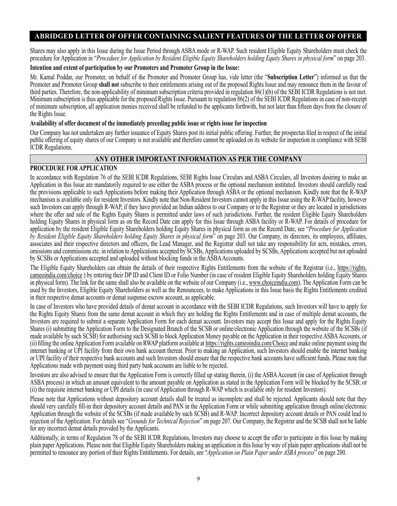Shares may also apply in this Issue during the Issue Period through ASBA mode or R-WAP. Such resident Eligible Equity Shareholders must check the procedure for Application in "*Procedure for Application by Resident Eligible Equity Shareholders holding Equity Shares in physical form*" on page 203.

#### **Intention and extent of participation by our Promoters and Promoter Group in the Issue:**

Mr. Kamal Poddar, our Promoter, on behalf of the Promoter and Promoter Group has, vide letter (the "**Subscription Letter**") informed us that the Promoter and Promoter Group **shall not** subscribe to their entitlements arising out of the proposed Rights Issue and may renounce them in the favour of third parties. Therefore, the non-applicability of minimum subscription criteria provided in regulation 86(1)(b) of the SEBI ICDR Regulations is not met. Minimum subscription is thus applicable for the proposed Rights Issue. Pursuant to regulation 86(2) of the SEBI ICDR Regulations in case of non-receipt of minimum subscription, all application monies received shall be refunded to the applicants forthwith, but not later than fifteen days from the closure of the Rights Issue.

#### **Availability of offer document of the immediately preceding public issue or rights issue for inspection**

Our Company has not undertaken any further issuance of Equity Shares post its initial public offering. Further, the prospectus filed in respect of the initial public offering of equity shares of our Company is not available and therefore cannot be uploaded on its website for inspection in compliance with SEBI ICDR Regulations.

### **ANY OTHER IMPORTANT INFORMATION AS PER THE COMPANY**

### **PROCEDURE FOR APPLICATION**

In accordance with Regulation 76 of the SEBI ICDR Regulations, SEBI Rights Issue Circulars and ASBA Circulars, all Investors desiring to make an Application in this Issue are mandatorily required to use either the ASBA process or the optional mechanism instituted. Investors should carefully read the provisions applicable to such Applications before making their Application through ASBA or the optional mechanism. Kindly note that the R-WAP mechanism is available only for resident Investors. Kindly note that Non-Resident Investors cannot apply in this Issue using the R-WAP facility, however such Investors can apply through R-WAP, if they have provided an Indian address to our Company or to the Registrar or they are located in jurisdictions where the offer and sale of the Rights Equity Shares is permitted under laws of such jurisdictions. Further, the resident Eligible Equity Shareholders holding Equity Shares in physical form as on the Record Date can apply for this Issue through ASBA facility or R-WAP. For details of procedure for application by the resident Eligible Equity Shareholders holding Equity Shares in physical form as on the Record Date, see "*Procedure for Application by Resident Eligible Equity Shareholders holding Equity Shares in physical form*" on page 203. Our Company, its directors, its employees, affiliates, associates and their respective directors and officers, the Lead Manager, and the Registrar shall not take any responsibility for acts, mistakes, errors, omissions and commissions etc. in relation to Applications accepted by SCSBs, Applications uploaded by SCSBs, Applications accepted but not uploaded by SCSBs or Applications accepted and uploaded without blocking funds in the ASBA Accounts.

The Eligible Equity Shareholders can obtain the details of their respective Rights Entitlements from the website of the Registrar (i.e., https://rights. cameoindia.com/choice ) by entering their DP ID and Client ID or Folio Number (in case of resident Eligible Equity Shareholders holding Equity Shares in physical form). The link for the same shall also be available on the website of our Company (i.e., www.choiceindia.com). The Application Form can be used by the Investors, Eligible Equity Shareholders as well as the Renouncees, to make Applications in this Issue basis the Rights Entitlements credited in their respective demat accounts or demat suspense escrow account, as applicable.

In case of Investors who have provided details of demat account in accordance with the SEBI ICDR Regulations, such Investors will have to apply for the Rights Equity Shares from the same demat account in which they are holding the Rights Entitlements and in case of multiple demat accounts, the Investors are required to submit a separate Application Form for each demat account. Investors may accept this Issue and apply for the Rights Equity Shares (i) submitting the Application Form to the Designated Branch of the SCSB or online/electronic Application through the website of the SCSBs (if made available by such SCSB) for authorising such SCSB to block Application Money payable on the Application in their respective ASBA Accounts, or (ii) filling the online Application Form available on RWAP platform available at https://rights.cameoindia.com/Choice and make online payment using the internet banking or UPI facility from their own bank account thereat. Prior to making an Application, such Investors should enable the internet banking or UPI facility of their respective bank accounts and such Investors should ensure that the respective bank accounts have sufficient funds. Please note that Applications made with payment using third party bank accounts are liable to be rejected.

Investors are also advised to ensure that the Application Form is correctly filled up stating therein, (i) the ASBA Account (in case of Application through ASBA process) in which an amount equivalent to the amount payable on Application as stated in the Application Form will be blocked by the SCSB; or (ii) the requisite internet banking or UPI details (in case of Application through R-WAP which is available only for resident Investors).

Please note that Applications without depository account details shall be treated as incomplete and shall be rejected. Applicants should note that they should very carefully fill-in their depository account details and PAN in the Application Form or while submitting application through online/electronic Application through the website of the SCSBs (if made available by such SCSB) and R-WAP. Incorrect depository account details or PAN could lead to rejection of the Application. For details see "*Grounds for Technical Rejection*" on page 207. Our Company, the Registrar and the SCSB shall not be liable for any incorrect demat details provided by the Applicants.

Additionally, in terms of Regulation 78 of the SEBI ICDR Regulations, Investors may choose to accept the offer to participate in this Issue by making plain paper Applications. Please note that Eligible Equity Shareholders making an application in this Issue by way of plain paper applications shall not be permitted to renounce any portion of their Rights Entitlements. For details, see "*Application on Plain Paper under ASBA process*" on page 200.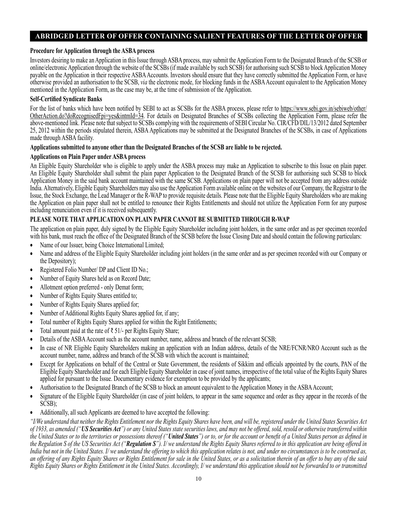### **Procedure for Application through the ASBA process**

Investors desiring to make an Application in this Issue through ASBA process, may submit the Application Form to the Designated Branch of the SCSB or online/electronic Application through the website of the SCSBs (if made available by such SCSB) for authorising such SCSB to block Application Money payable on the Application in their respective ASBA Accounts. Investors should ensure that they have correctly submitted the Application Form, or have otherwise provided an authorisation to the SCSB, *via* the electronic mode, for blocking funds in the ASBA Account equivalent to the Application Money mentioned in the Application Form, as the case may be, at the time of submission of the Application.

### **Self-Certified Syndicate Banks**

For the list of banks which have been notified by SEBI to act as SCSBs for the ASBA process, please refer to https://www.sebi.gov.in/sebiweb/other/ OtherAction.do?doRecognisedFpi=yes&intmId=34. For details on Designated Branches of SCSBs collecting the Application Form, please refer the above-mentioned link. Please note that subject to SCSBs complying with the requirements of SEBI Circular No. CIR/CFD/DIL/13/2012 dated September 25, 2012 within the periods stipulated therein, ASBA Applications may be submitted at the Designated Branches of the SCSBs, in case of Applications made through ASBA facility.

### **Applications submitted to anyone other than the Designated Branches of the SCSB are liable to be rejected.**

### **Applications on Plain Paper under ASBA process**

An Eligible Equity Shareholder who is eligible to apply under the ASBA process may make an Application to subscribe to this Issue on plain paper. An Eligible Equity Shareholder shall submit the plain paper Application to the Designated Branch of the SCSB for authorising such SCSB to block Application Money in the said bank account maintained with the same SCSB. Applications on plain paper will not be accepted from any address outside India. Alternatively, Eligible Equity Shareholders may also use the Application Form available online on the websites of our Company, the Registrar to the Issue, the Stock Exchange, the Lead Manager or the R-WAP to provide requisite details. Please note that the Eligible Equity Shareholders who are making the Application on plain paper shall not be entitled to renounce their Rights Entitlements and should not utilize the Application Form for any purpose including renunciation even if it is received subsequently.

### **PLEASE NOTE THAT APPLICATION ON PLAIN PAPER CANNOT BE SUBMITTED THROUGH R-WAP**

The application on plain paper, duly signed by the Eligible Equity Shareholder including joint holders, in the same order and as per specimen recorded with his bank, must reach the office of the Designated Branch of the SCSB before the Issue Closing Date and should contain the following particulars:

- Name of our Issuer, being Choice International Limited;
- Name and address of the Eligible Equity Shareholder including joint holders (in the same order and as per specimen recorded with our Company or the Depository);
- Registered Folio Number/ DP and Client ID No.;
- Number of Equity Shares held as on Record Date;
- Allotment option preferred only Demat form;
- Number of Rights Equity Shares entitled to;
- Number of Rights Equity Shares applied for;
- Number of Additional Rights Equity Shares applied for, if any;
- Total number of Rights Equity Shares applied for within the Right Entitlements;
- Total amount paid at the rate of ₹ 51/- per Rights Equity Share;
- Details of the ASBA Account such as the account number, name, address and branch of the relevant SCSB;
- In case of NR Eligible Equity Shareholders making an application with an Indian address, details of the NRE/FCNR/NRO Account such as the account number, name, address and branch of the SCSB with which the account is maintained;
- Except for Applications on behalf of the Central or State Government, the residents of Sikkim and officials appointed by the courts, PAN of the Eligible Equity Shareholder and for each Eligible Equity Shareholder in case of joint names, irrespective of the total value of the Rights Equity Shares applied for pursuant to the Issue. Documentary evidence for exemption to be provided by the applicants;
- Authorisation to the Designated Branch of the SCSB to block an amount equivalent to the Application Money in the ASBA Account;
- Signature of the Eligible Equity Shareholder (in case of joint holders, to appear in the same sequence and order as they appear in the records of the SCSB);
- Additionally, all such Applicants are deemed to have accepted the following:

*"I/We understand that neither the Rights Entitlement nor the Rights Equity Shares have been, and will be, registered under the United States Securities Act of 1933, as amended ("US Securities Act") or any United States state securities laws, and may not be offered, sold, resold or otherwise transferred within the United States or to the territories or possessions thereof ("United States") or to, or for the account or benefit of a United States person as defined in the Regulation S of the US Securities Act ("Regulation S"). I/ we understand the Rights Equity Shares referred to in this application are being offered in*  India but not in the United States. I/ we understand the offering to which this application relates is not, and under no circumstances is to be construed as, *an offering of any Rights Equity Shares or Rights Entitlement for sale in the United States, or as a solicitation therein of an offer to buy any of the said Rights Equity Shares or Rights Entitlement in the United States. Accordingly, I/ we understand this application should not be forwarded to or transmitted*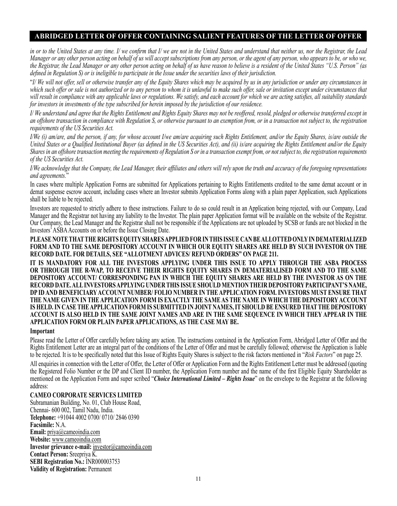*in or to the United States at any time. I/ we confirm that I/ we are not in the United States and understand that neither us, nor the Registrar, the Lead Manager or any other person acting on behalf of us will accept subscriptions from any person, or the agent of any person, who appears to be, or who we, the Registrar, the Lead Manager or any other person acting on behalf of us have reason to believe is a resident of the United States "U.S. Person" (as defined in Regulation S) or is ineligible to participate in the Issue under the securities laws of their jurisdiction.*

"*I/ We will not offer, sell or otherwise transfer any of the Equity Shares which may be acquired by us in any jurisdiction or under any circumstances in which such offer or sale is not authorized or to any person to whom it is unlawful to make such offer, sale or invitation except under circumstances that will result in compliance with any applicable laws or regulations. We satisfy, and each account for which we are acting satisfies, all suitability standards for investors in investments of the type subscribed for herein imposed by the jurisdiction of our residence.*

*I/ We understand and agree that the Rights Entitlement and Rights Equity Shares may not be reoffered, resold, pledged or otherwise transferred except in an offshore transaction in compliance with Regulation S, or otherwise pursuant to an exemption from, or in a transaction not subject to, the registration requirements of the US Securities Act.*

*I/We (i) am/are, and the person, if any, for whose account I/we am/are acquiring such Rights Entitlement, and/or the Equity Shares, is/are outside the United States or a Qualified Institutional Buyer (as defined in the US Securities Act), and (ii) is/are acquiring the Rights Entitlement and/or the Equity Shares in an offshore transaction meeting the requirements of Regulation S or in a transaction exempt from, or not subject to, the registration requirements of the US Securities Act.*

*I/We acknowledge that the Company, the Lead Manager, their affiliates and others will rely upon the truth and accuracy of the foregoing representations and agreements.*"

In cases where multiple Application Forms are submitted for Applications pertaining to Rights Entitlements credited to the same demat account or in demat suspense escrow account, including cases where an Investor submits Application Forms along with a plain paper Application, such Applications shall be liable to be rejected.

Investors are requested to strictly adhere to these instructions. Failure to do so could result in an Application being rejected, with our Company, Lead Manager and the Registrar not having any liability to the Investor. The plain paper Application format will be available on the website of the Registrar. Our Company, the Lead Manager and the Registrar shall not be responsible if the Applications are not uploaded by SCSB or funds are not blocked in the Investors' ASBA Accounts on or before the Issue Closing Date.

**PLEASE NOTE THAT THE RIGHTS EQUITY SHARES APPLIED FOR IN THIS ISSUE CAN BE ALLOTTED ONLY IN DEMATERIALIZED FORM AND TO THE SAME DEPOSITORY ACCOUNT IN WHICH OUR EQUITY SHARES ARE HELD BY SUCH INVESTOR ON THE RECORD DATE. FOR DETAILS, SEE "ALLOTMENT ADVICES/ REFUND ORDERS" ON PAGE 211.** 

**IT IS MANDATORY FOR ALL THE INVESTORS APPLYING UNDER THIS ISSUE TO APPLY THROUGH THE ASBA PROCESS OR THROUGH THE R-WAP, TO RECEIVE THEIR RIGHTS EQUITY SHARES IN DEMATERIALISED FORM AND TO THE SAME DEPOSITORY ACCOUNT/ CORRESPONDING PAN IN WHICH THE EQUITY SHARES ARE HELD BY THE INVESTOR AS ON THE RECORD DATE. ALL INVESTORS APPLYING UNDER THIS ISSUE SHOULD MENTION THEIR DEPOSITORY PARTICIPANT'S NAME, DP ID AND BENEFICIARY ACCOUNT NUMBER/ FOLIO NUMBER IN THE APPLICATION FORM. INVESTORS MUST ENSURE THAT THE NAME GIVEN IN THE APPLICATION FORM IS EXACTLY THE SAME AS THE NAME IN WHICH THE DEPOSITORY ACCOUNT IS HELD. IN CASE THE APPLICATION FORM IS SUBMITTED IN JOINT NAMES, IT SHOULD BE ENSURED THAT THE DEPOSITORY ACCOUNT IS ALSO HELD IN THE SAME JOINT NAMES AND ARE IN THE SAME SEQUENCE IN WHICH THEY APPEAR IN THE APPLICATION FORM OR PLAIN PAPER APPLICATIONS, AS THE CASE MAY BE.**

#### **Important**

Please read the Letter of Offer carefully before taking any action. The instructions contained in the Application Form, Abridged Letter of Offer and the Rights Entitlement Letter are an integral part of the conditions of the Letter of Offer and must be carefully followed; otherwise the Application is liable to be rejected. It is to be specifically noted that this Issue of Rights Equity Shares is subject to the risk factors mentioned in "*Risk Factors*" on page 25.

All enquiries in connection with the Letter of Offer, the Letter of Offer or Application Form and the Rights Entitlement Letter must be addressed (quoting the Registered Folio Number or the DP and Client ID number, the Application Form number and the name of the first Eligible Equity Shareholder as mentioned on the Application Form and super scribed "*Choice International Limited – Rights Issue*" on the envelope to the Registrar at the following address:

#### **CAMEO CORPORATE SERVICES LIMITED**

Subramanian Building, No. 01, Club House Road, Chennai- 600 002, Tamil Nadu, India. **Telephone:** +91044 4002 0700/ 0710/ 2846 0390 **Facsimile:** N.A. **Email:** priya@cameoindia.com **Website:** www.cameoindia.com **Investor grievance e-mail:** investor@cameoindia.com **Contact Person:** Sreepriya K. **SEBI Registration No.:** INR000003753 **Validity of Registration:** Permanent